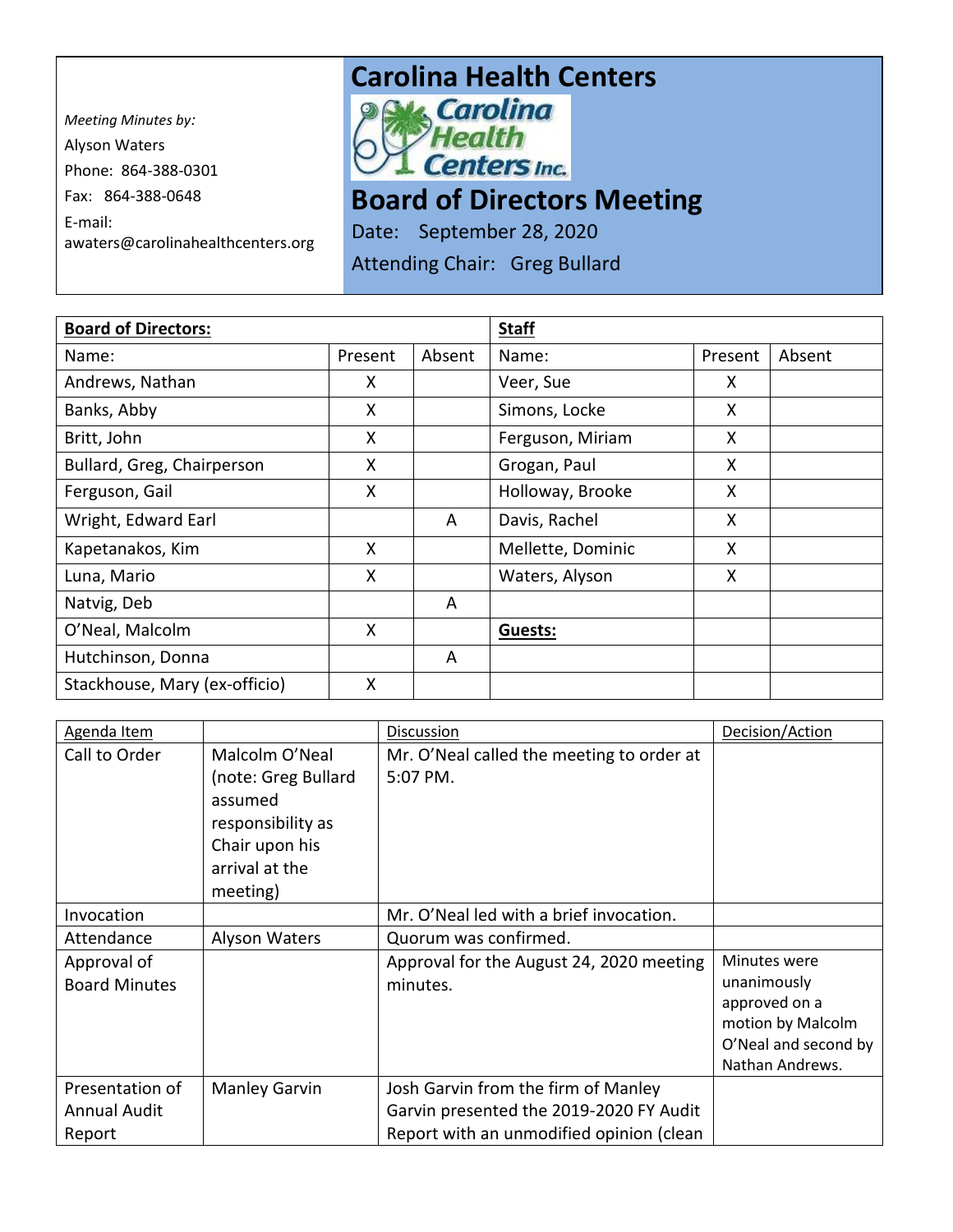*Meeting Minutes by:*  Alyson Waters Phone: 864-388-0301 Fax: 864-388-0648 E-mail: awaters@carolinahealthcenters.org

## **Carolina Health Centers**<br> **Power Carolina**



## **Board of Directors Meeting**

Date: September 28, 2020

Attending Chair: Greg Bullard

| <b>Board of Directors:</b>    |         |        | <b>Staff</b>      |         |        |
|-------------------------------|---------|--------|-------------------|---------|--------|
| Name:                         | Present | Absent | Name:             | Present | Absent |
| Andrews, Nathan               | X       |        | Veer, Sue         | X       |        |
| Banks, Abby                   | X       |        | Simons, Locke     | X       |        |
| Britt, John                   | X       |        | Ferguson, Miriam  | X       |        |
| Bullard, Greg, Chairperson    | X       |        | Grogan, Paul      | X       |        |
| Ferguson, Gail                | X       |        | Holloway, Brooke  | X       |        |
| Wright, Edward Earl           |         | A      | Davis, Rachel     | X       |        |
| Kapetanakos, Kim              | X       |        | Mellette, Dominic | X       |        |
| Luna, Mario                   | X       |        | Waters, Alyson    | X       |        |
| Natvig, Deb                   |         | A      |                   |         |        |
| O'Neal, Malcolm               | X       |        | Guests:           |         |        |
| Hutchinson, Donna             |         | A      |                   |         |        |
| Stackhouse, Mary (ex-officio) | X       |        |                   |         |        |

| Agenda Item          |                     | <b>Discussion</b>                         | Decision/Action      |
|----------------------|---------------------|-------------------------------------------|----------------------|
| Call to Order        | Malcolm O'Neal      | Mr. O'Neal called the meeting to order at |                      |
|                      | (note: Greg Bullard | 5:07 PM.                                  |                      |
|                      | assumed             |                                           |                      |
|                      | responsibility as   |                                           |                      |
|                      | Chair upon his      |                                           |                      |
|                      | arrival at the      |                                           |                      |
|                      | meeting)            |                                           |                      |
| Invocation           |                     | Mr. O'Neal led with a brief invocation.   |                      |
| Attendance           | Alyson Waters       | Quorum was confirmed.                     |                      |
| Approval of          |                     | Approval for the August 24, 2020 meeting  | Minutes were         |
| <b>Board Minutes</b> |                     | minutes.                                  | unanimously          |
|                      |                     |                                           | approved on a        |
|                      |                     |                                           | motion by Malcolm    |
|                      |                     |                                           | O'Neal and second by |
|                      |                     |                                           | Nathan Andrews.      |
| Presentation of      | Manley Garvin       | Josh Garvin from the firm of Manley       |                      |
| Annual Audit         |                     | Garvin presented the 2019-2020 FY Audit   |                      |
| Report               |                     | Report with an unmodified opinion (clean  |                      |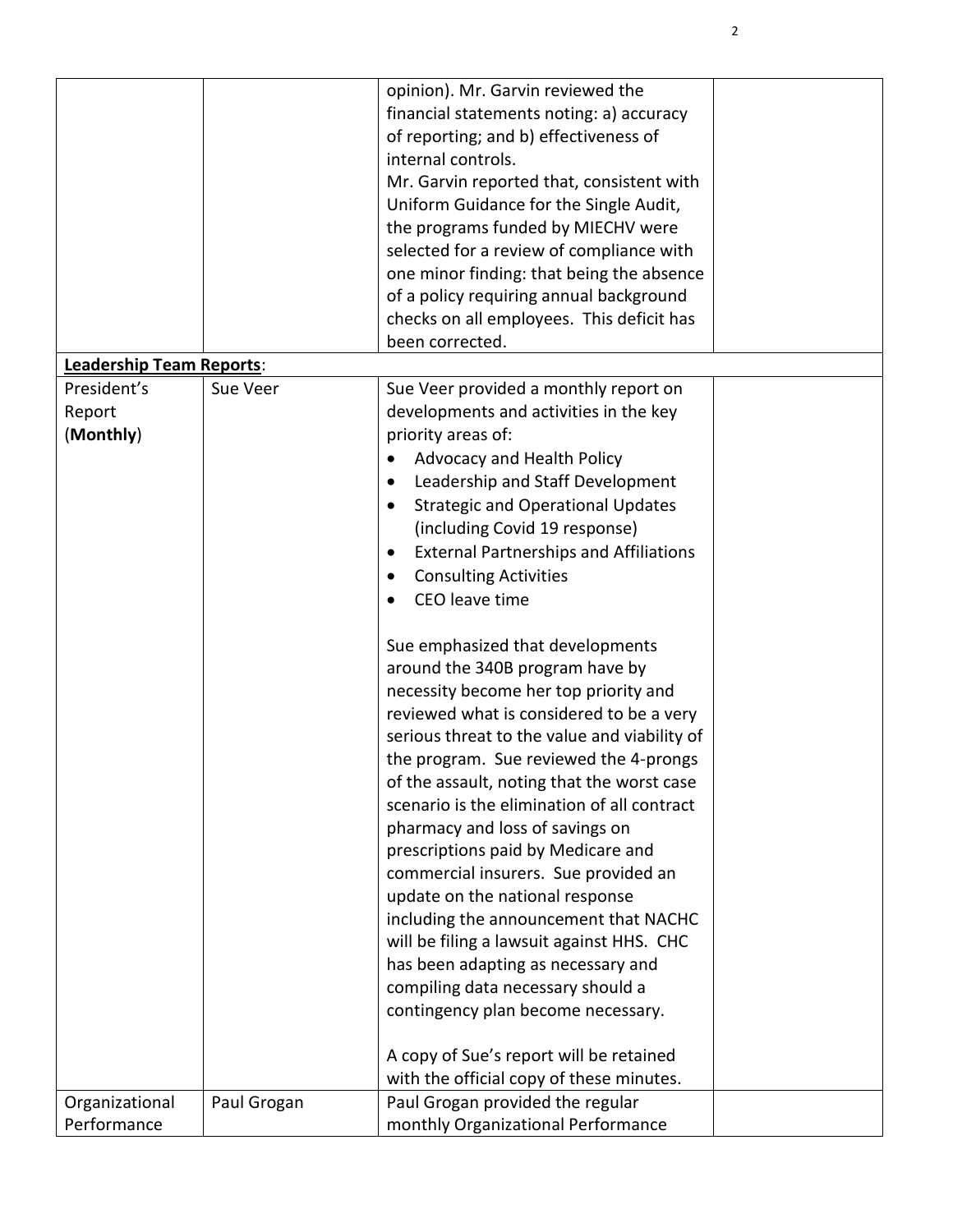|                          |             | opinion). Mr. Garvin reviewed the                  |  |
|--------------------------|-------------|----------------------------------------------------|--|
|                          |             | financial statements noting: a) accuracy           |  |
|                          |             | of reporting; and b) effectiveness of              |  |
|                          |             | internal controls.                                 |  |
|                          |             |                                                    |  |
|                          |             | Mr. Garvin reported that, consistent with          |  |
|                          |             | Uniform Guidance for the Single Audit,             |  |
|                          |             | the programs funded by MIECHV were                 |  |
|                          |             | selected for a review of compliance with           |  |
|                          |             | one minor finding: that being the absence          |  |
|                          |             | of a policy requiring annual background            |  |
|                          |             | checks on all employees. This deficit has          |  |
|                          |             | been corrected.                                    |  |
| Leadership Team Reports: |             |                                                    |  |
| President's              | Sue Veer    | Sue Veer provided a monthly report on              |  |
| Report                   |             | developments and activities in the key             |  |
| (Monthly)                |             | priority areas of:                                 |  |
|                          |             | Advocacy and Health Policy                         |  |
|                          |             | Leadership and Staff Development<br>$\bullet$      |  |
|                          |             | <b>Strategic and Operational Updates</b><br>٠      |  |
|                          |             | (including Covid 19 response)                      |  |
|                          |             |                                                    |  |
|                          |             | <b>External Partnerships and Affiliations</b><br>٠ |  |
|                          |             | <b>Consulting Activities</b><br>$\bullet$          |  |
|                          |             | CEO leave time                                     |  |
|                          |             | Sue emphasized that developments                   |  |
|                          |             | around the 340B program have by                    |  |
|                          |             | necessity become her top priority and              |  |
|                          |             | reviewed what is considered to be a very           |  |
|                          |             | serious threat to the value and viability of       |  |
|                          |             |                                                    |  |
|                          |             | the program. Sue reviewed the 4-prongs             |  |
|                          |             | of the assault, noting that the worst case         |  |
|                          |             | scenario is the elimination of all contract        |  |
|                          |             | pharmacy and loss of savings on                    |  |
|                          |             | prescriptions paid by Medicare and                 |  |
|                          |             | commercial insurers. Sue provided an               |  |
|                          |             | update on the national response                    |  |
|                          |             | including the announcement that NACHC              |  |
|                          |             | will be filing a lawsuit against HHS. CHC          |  |
|                          |             | has been adapting as necessary and                 |  |
|                          |             | compiling data necessary should a                  |  |
|                          |             | contingency plan become necessary.                 |  |
|                          |             |                                                    |  |
|                          |             | A copy of Sue's report will be retained            |  |
|                          |             | with the official copy of these minutes.           |  |
| Organizational           | Paul Grogan | Paul Grogan provided the regular                   |  |
| Performance              |             | monthly Organizational Performance                 |  |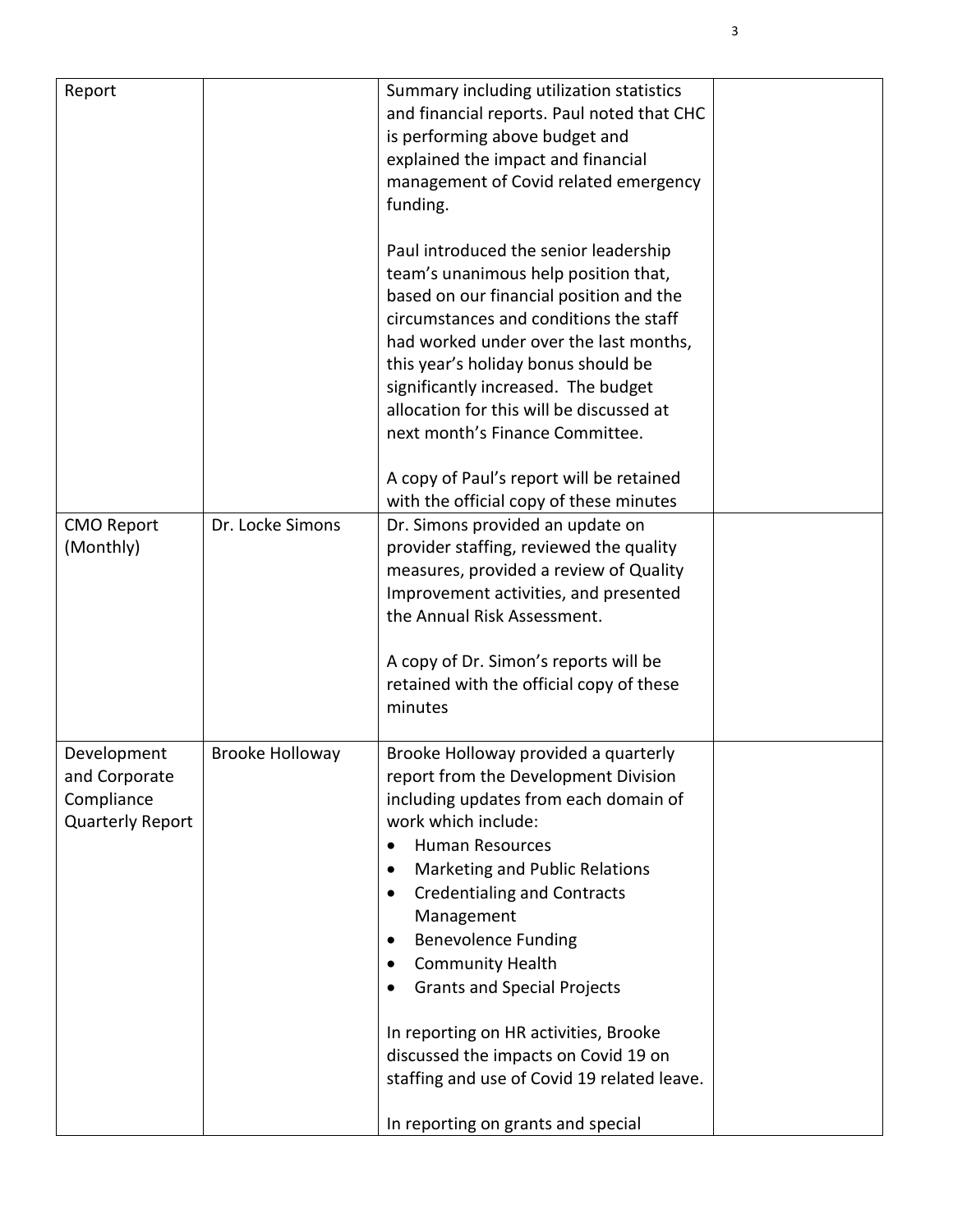| Report                                                                |                        | Summary including utilization statistics<br>and financial reports. Paul noted that CHC<br>is performing above budget and<br>explained the impact and financial<br>management of Covid related emergency<br>funding.<br>Paul introduced the senior leadership<br>team's unanimous help position that,<br>based on our financial position and the<br>circumstances and conditions the staff<br>had worked under over the last months,<br>this year's holiday bonus should be<br>significantly increased. The budget<br>allocation for this will be discussed at<br>next month's Finance Committee.<br>A copy of Paul's report will be retained<br>with the official copy of these minutes |  |
|-----------------------------------------------------------------------|------------------------|-----------------------------------------------------------------------------------------------------------------------------------------------------------------------------------------------------------------------------------------------------------------------------------------------------------------------------------------------------------------------------------------------------------------------------------------------------------------------------------------------------------------------------------------------------------------------------------------------------------------------------------------------------------------------------------------|--|
| <b>CMO Report</b><br>(Monthly)                                        | Dr. Locke Simons       | Dr. Simons provided an update on<br>provider staffing, reviewed the quality<br>measures, provided a review of Quality<br>Improvement activities, and presented<br>the Annual Risk Assessment.<br>A copy of Dr. Simon's reports will be<br>retained with the official copy of these<br>minutes                                                                                                                                                                                                                                                                                                                                                                                           |  |
| Development<br>and Corporate<br>Compliance<br><b>Quarterly Report</b> | <b>Brooke Holloway</b> | Brooke Holloway provided a quarterly<br>report from the Development Division<br>including updates from each domain of<br>work which include:<br><b>Human Resources</b><br>$\bullet$<br>Marketing and Public Relations<br>$\bullet$<br><b>Credentialing and Contracts</b><br>$\bullet$<br>Management<br><b>Benevolence Funding</b><br>$\bullet$<br><b>Community Health</b><br>$\bullet$<br><b>Grants and Special Projects</b><br>٠<br>In reporting on HR activities, Brooke<br>discussed the impacts on Covid 19 on<br>staffing and use of Covid 19 related leave.<br>In reporting on grants and special                                                                                 |  |

3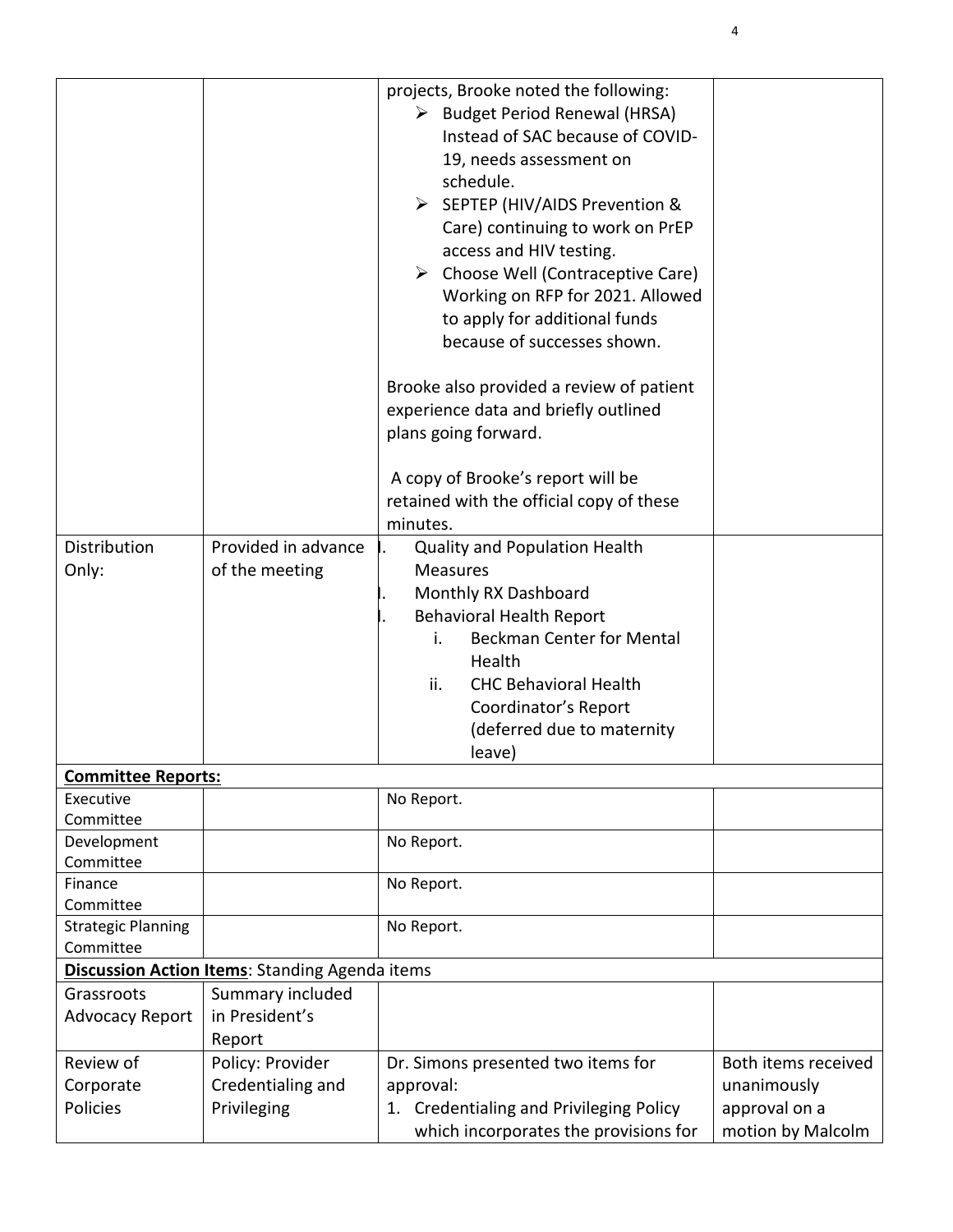|                           |                                                       | projects, Brooke noted the following:             |                     |
|---------------------------|-------------------------------------------------------|---------------------------------------------------|---------------------|
|                           |                                                       | > Budget Period Renewal (HRSA)                    |                     |
|                           |                                                       | Instead of SAC because of COVID-                  |                     |
|                           |                                                       | 19, needs assessment on                           |                     |
|                           |                                                       | schedule.                                         |                     |
|                           |                                                       | > SEPTEP (HIV/AIDS Prevention &                   |                     |
|                           |                                                       | Care) continuing to work on PrEP                  |                     |
|                           |                                                       |                                                   |                     |
|                           |                                                       | access and HIV testing.                           |                     |
|                           |                                                       | $\triangleright$ Choose Well (Contraceptive Care) |                     |
|                           |                                                       | Working on RFP for 2021. Allowed                  |                     |
|                           |                                                       | to apply for additional funds                     |                     |
|                           |                                                       | because of successes shown.                       |                     |
|                           |                                                       |                                                   |                     |
|                           |                                                       | Brooke also provided a review of patient          |                     |
|                           |                                                       | experience data and briefly outlined              |                     |
|                           |                                                       | plans going forward.                              |                     |
|                           |                                                       | A copy of Brooke's report will be                 |                     |
|                           |                                                       | retained with the official copy of these          |                     |
|                           |                                                       | minutes.                                          |                     |
| Distribution              | Provided in advance                                   | <b>Quality and Population Health</b>              |                     |
|                           |                                                       |                                                   |                     |
| Only:                     | of the meeting                                        | <b>Measures</b>                                   |                     |
|                           |                                                       | Monthly RX Dashboard                              |                     |
|                           |                                                       | <b>Behavioral Health Report</b>                   |                     |
|                           |                                                       | <b>Beckman Center for Mental</b><br>i.            |                     |
|                           |                                                       | Health                                            |                     |
|                           |                                                       | ii.<br><b>CHC Behavioral Health</b>               |                     |
|                           |                                                       | Coordinator's Report                              |                     |
|                           |                                                       | (deferred due to maternity                        |                     |
|                           |                                                       | leave)                                            |                     |
| <b>Committee Reports:</b> |                                                       |                                                   |                     |
| Executive                 |                                                       | No Report.                                        |                     |
| Committee                 |                                                       |                                                   |                     |
| Development               |                                                       | No Report.                                        |                     |
| Committee                 |                                                       |                                                   |                     |
| Finance                   |                                                       | No Report.                                        |                     |
| Committee                 |                                                       |                                                   |                     |
| <b>Strategic Planning</b> |                                                       | No Report.                                        |                     |
| Committee                 |                                                       |                                                   |                     |
|                           | <b>Discussion Action Items: Standing Agenda items</b> |                                                   |                     |
| Grassroots                | Summary included                                      |                                                   |                     |
| <b>Advocacy Report</b>    | in President's                                        |                                                   |                     |
|                           | Report                                                |                                                   |                     |
| Review of                 | Policy: Provider                                      | Dr. Simons presented two items for                | Both items received |
| Corporate                 | Credentialing and                                     | approval:                                         | unanimously         |
| Policies                  | Privileging                                           | 1. Credentialing and Privileging Policy           | approval on a       |
|                           |                                                       | which incorporates the provisions for             | motion by Malcolm   |

4